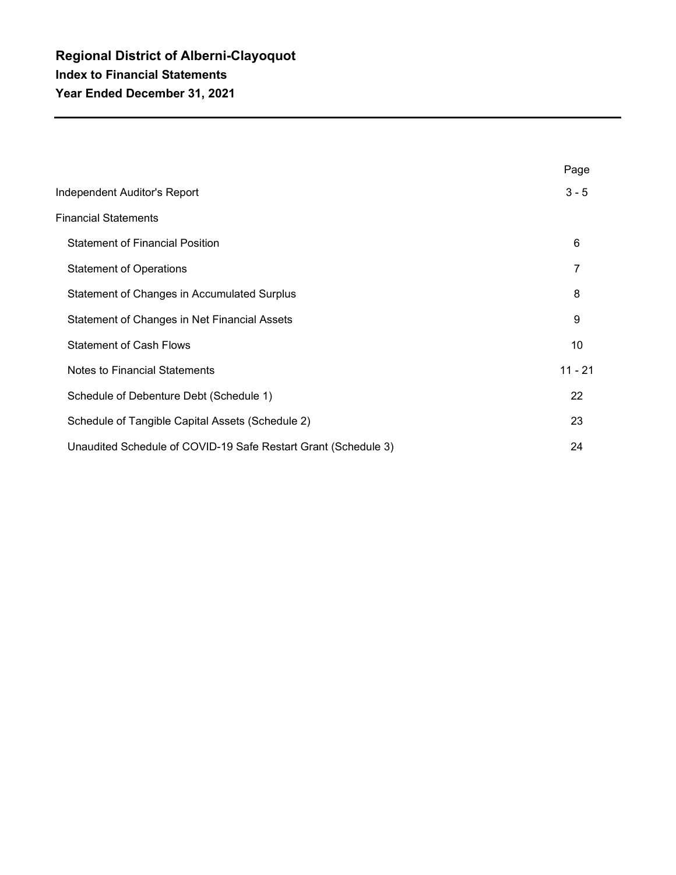|                                                                | Page      |
|----------------------------------------------------------------|-----------|
| Independent Auditor's Report                                   | $3 - 5$   |
| <b>Financial Statements</b>                                    |           |
| <b>Statement of Financial Position</b>                         | 6         |
| <b>Statement of Operations</b>                                 | 7         |
| Statement of Changes in Accumulated Surplus                    | 8         |
| Statement of Changes in Net Financial Assets                   | 9         |
| <b>Statement of Cash Flows</b>                                 | 10        |
| Notes to Financial Statements                                  | $11 - 21$ |
| Schedule of Debenture Debt (Schedule 1)                        | 22        |
| Schedule of Tangible Capital Assets (Schedule 2)               | 23        |
| Unaudited Schedule of COVID-19 Safe Restart Grant (Schedule 3) | 24        |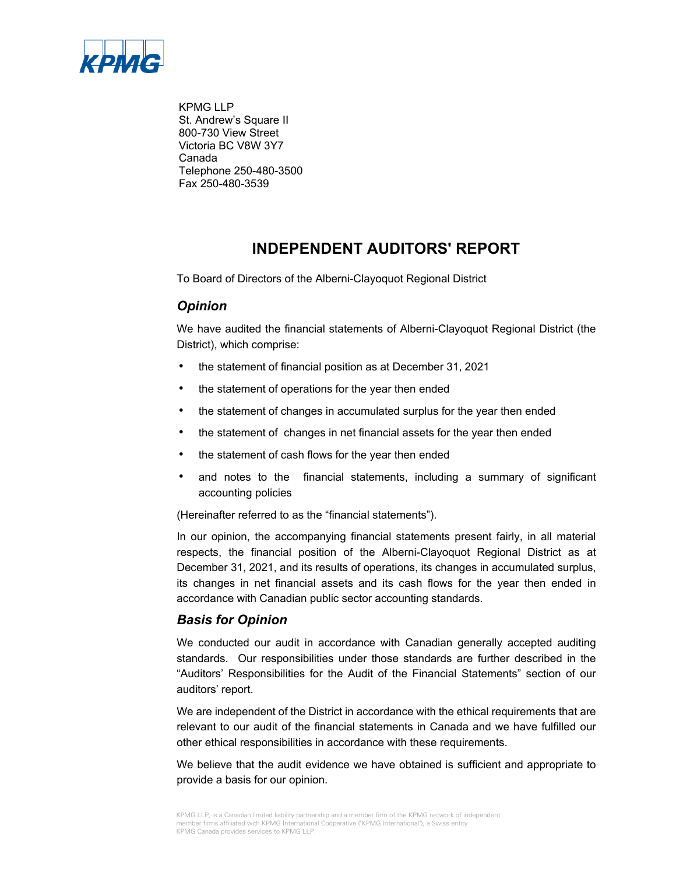

KPMG LLP St. Andrew's Square II 800-730 View Street Victoria BC V8W 3Y7 Canada Telephone 250-480-3500 Fax 250-480-3539

# **INDEPENDENT AUDITORS' REPORT**

To Board of Directors of the Alberni-Clayoquot Regional District

### *Opinion*

We have audited the financial statements of Alberni-Clayoquot Regional District (the District), which comprise:

- the statement of financial position as at December 31, 2021
- the statement of operations for the year then ended
- the statement of changes in accumulated surplus for the year then ended
- the statement of changes in net financial assets for the year then ended
- the statement of cash flows for the year then ended
- and notes to the financial statements, including a summary of significant accounting policies

(Hereinafter referred to as the "financial statements").

In our opinion, the accompanying financial statements present fairly, in all material respects, the financial position of the Alberni-Clayoquot Regional District as at December 31, 2021, and its results of operations, its changes in accumulated surplus, its changes in net financial assets and its cash flows for the year then ended in accordance with Canadian public sector accounting standards.

### *Basis for Opinion*

We conducted our audit in accordance with Canadian generally accepted auditing standards. Our responsibilities under those standards are further described in the "Auditors' Responsibilities for the Audit of the Financial Statements" section of our auditors' report.

We are independent of the District in accordance with the ethical requirements that are relevant to our audit of the financial statements in Canada and we have fulfilled our other ethical responsibilities in accordance with these requirements.

We believe that the audit evidence we have obtained is sufficient and appropriate to provide a basis for our opinion.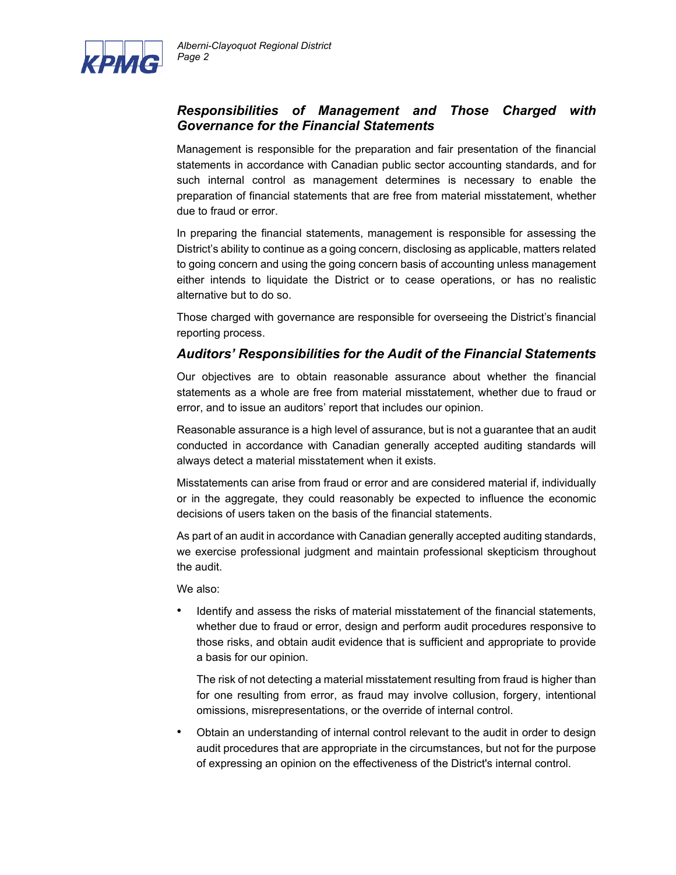

### *Responsibilities of Management and Those Charged with Governance for the Financial Statements*

Management is responsible for the preparation and fair presentation of the financial statements in accordance with Canadian public sector accounting standards, and for such internal control as management determines is necessary to enable the preparation of financial statements that are free from material misstatement, whether due to fraud or error.

In preparing the financial statements, management is responsible for assessing the District's ability to continue as a going concern, disclosing as applicable, matters related to going concern and using the going concern basis of accounting unless management either intends to liquidate the District or to cease operations, or has no realistic alternative but to do so.

Those charged with governance are responsible for overseeing the District's financial reporting process.

### *Auditors' Responsibilities for the Audit of the Financial Statements*

Our objectives are to obtain reasonable assurance about whether the financial statements as a whole are free from material misstatement, whether due to fraud or error, and to issue an auditors' report that includes our opinion.

Reasonable assurance is a high level of assurance, but is not a guarantee that an audit conducted in accordance with Canadian generally accepted auditing standards will always detect a material misstatement when it exists.

Misstatements can arise from fraud or error and are considered material if, individually or in the aggregate, they could reasonably be expected to influence the economic decisions of users taken on the basis of the financial statements.

As part of an audit in accordance with Canadian generally accepted auditing standards, we exercise professional judgment and maintain professional skepticism throughout the audit.

We also:

Identify and assess the risks of material misstatement of the financial statements, whether due to fraud or error, design and perform audit procedures responsive to those risks, and obtain audit evidence that is sufficient and appropriate to provide a basis for our opinion.

The risk of not detecting a material misstatement resulting from fraud is higher than for one resulting from error, as fraud may involve collusion, forgery, intentional omissions, misrepresentations, or the override of internal control.

• Obtain an understanding of internal control relevant to the audit in order to design audit procedures that are appropriate in the circumstances, but not for the purpose of expressing an opinion on the effectiveness of the District's internal control.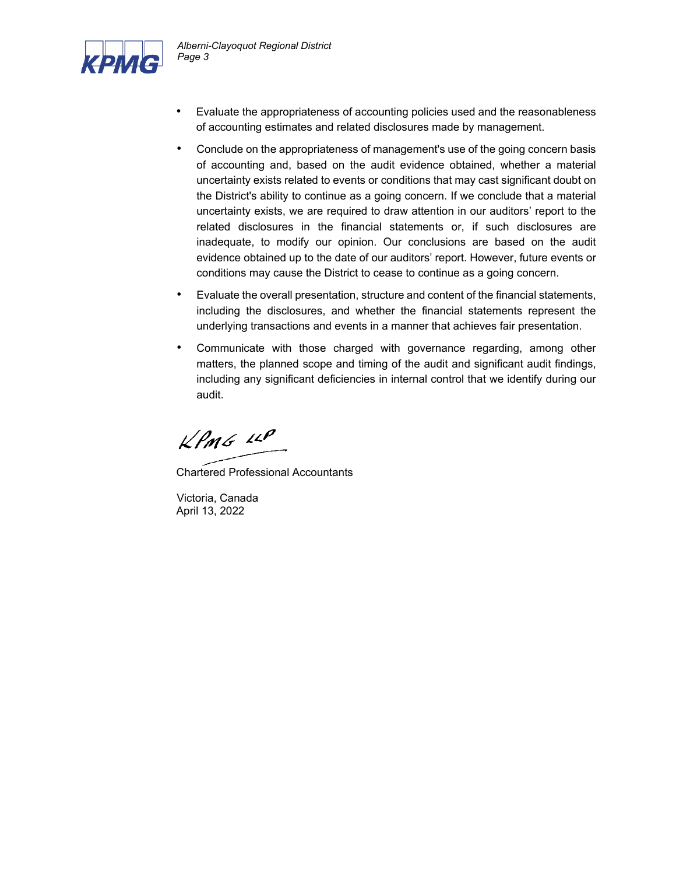

- Evaluate the appropriateness of accounting policies used and the reasonableness of accounting estimates and related disclosures made by management.
- Conclude on the appropriateness of management's use of the going concern basis of accounting and, based on the audit evidence obtained, whether a material uncertainty exists related to events or conditions that may cast significant doubt on the District's ability to continue as a going concern. If we conclude that a material uncertainty exists, we are required to draw attention in our auditors' report to the related disclosures in the financial statements or, if such disclosures are inadequate, to modify our opinion. Our conclusions are based on the audit evidence obtained up to the date of our auditors' report. However, future events or conditions may cause the District to cease to continue as a going concern.
- Evaluate the overall presentation, structure and content of the financial statements, including the disclosures, and whether the financial statements represent the underlying transactions and events in a manner that achieves fair presentation.
- Communicate with those charged with governance regarding, among other matters, the planned scope and timing of the audit and significant audit findings, including any significant deficiencies in internal control that we identify during our audit.

 $k$ *PMG*  $\mu$ 

Chartered Professional Accountants

Victoria, Canada April 13, 2022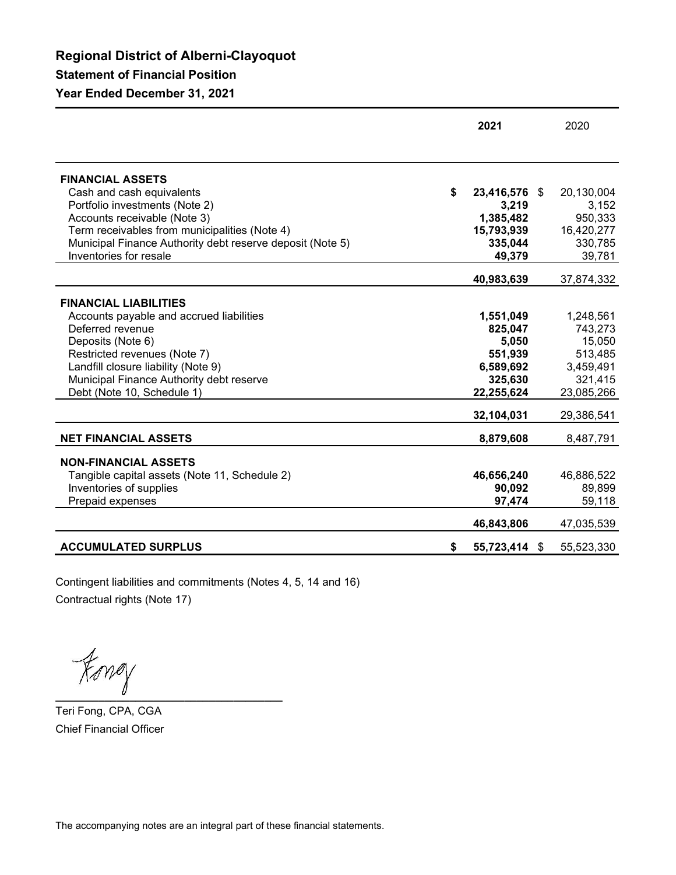**Regional District of Alberni-Clayoquot Statement of Financial Position**

**Year Ended December 31, 2021**

|                                                             | 2021                         | 2020                |
|-------------------------------------------------------------|------------------------------|---------------------|
|                                                             |                              |                     |
| <b>FINANCIAL ASSETS</b>                                     |                              |                     |
| Cash and cash equivalents<br>Portfolio investments (Note 2) | \$<br>23,416,576 \$<br>3,219 | 20,130,004<br>3,152 |
| Accounts receivable (Note 3)                                | 1,385,482                    | 950,333             |
| Term receivables from municipalities (Note 4)               | 15,793,939                   | 16,420,277          |
| Municipal Finance Authority debt reserve deposit (Note 5)   | 335,044                      | 330,785             |
| Inventories for resale                                      | 49,379                       | 39,781              |
|                                                             | 40,983,639                   | 37,874,332          |
| <b>FINANCIAL LIABILITIES</b>                                |                              |                     |
| Accounts payable and accrued liabilities                    | 1,551,049                    | 1,248,561           |
| Deferred revenue                                            | 825,047                      | 743,273             |
| Deposits (Note 6)                                           | 5,050                        | 15,050              |
| Restricted revenues (Note 7)                                | 551,939                      | 513,485             |
| Landfill closure liability (Note 9)                         | 6,589,692                    | 3,459,491           |
| Municipal Finance Authority debt reserve                    | 325,630                      | 321,415             |
| Debt (Note 10, Schedule 1)                                  | 22,255,624                   | 23,085,266          |
|                                                             | 32,104,031                   | 29,386,541          |
| <b>NET FINANCIAL ASSETS</b>                                 | 8,879,608                    | 8,487,791           |
| <b>NON-FINANCIAL ASSETS</b>                                 |                              |                     |
| Tangible capital assets (Note 11, Schedule 2)               | 46,656,240                   | 46,886,522          |
| Inventories of supplies                                     | 90,092                       | 89,899              |
| Prepaid expenses                                            | 97,474                       | 59,118              |
|                                                             | 46,843,806                   | 47,035,539          |
| <b>ACCUMULATED SURPLUS</b>                                  | \$<br>55,723,414 \$          | 55,523,330          |
|                                                             |                              |                     |

Contingent liabilities and commitments (Notes 4, 5, 14 and 16) Contractual rights (Note 17)

 $\not\equiv$ 

Teri Fong, CPA, CGA Chief Financial Officer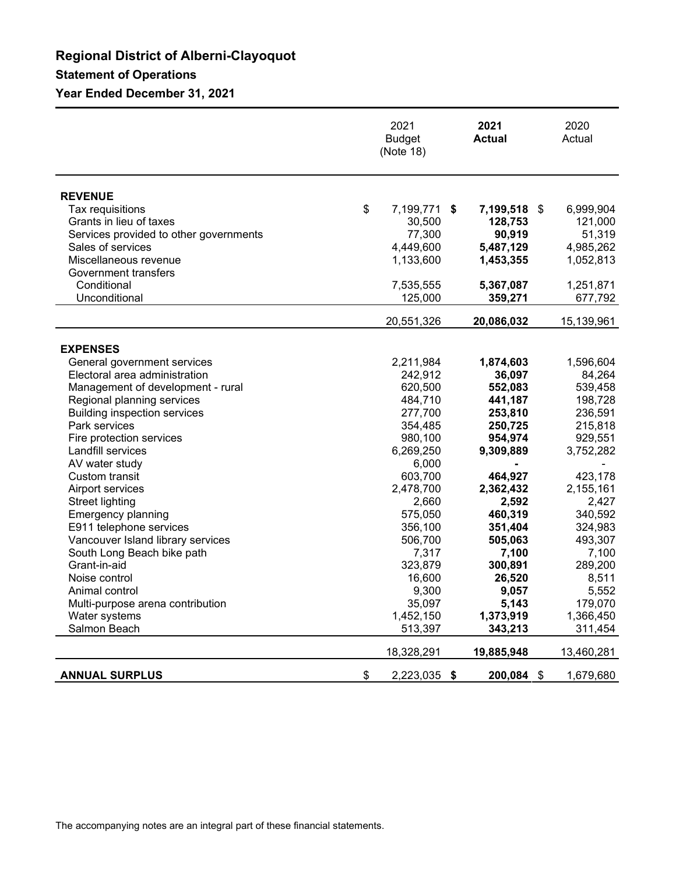# **Regional District of Alberni-Clayoquot Statement of Operations**

### **Year Ended December 31, 2021**

|                                        | 2021<br><b>Budget</b><br>(Note 18) | 2021<br><b>Actual</b> | 2020<br>Actual  |
|----------------------------------------|------------------------------------|-----------------------|-----------------|
| <b>REVENUE</b>                         |                                    |                       |                 |
| Tax requisitions                       | \$<br>7,199,771 \$                 | 7,199,518             | \$<br>6,999,904 |
| Grants in lieu of taxes                | 30,500                             | 128,753               | 121,000         |
| Services provided to other governments | 77,300                             | 90,919                | 51,319          |
| Sales of services                      | 4,449,600                          | 5,487,129             | 4,985,262       |
| Miscellaneous revenue                  | 1,133,600                          | 1,453,355             | 1,052,813       |
| Government transfers                   |                                    |                       |                 |
| Conditional                            | 7,535,555                          | 5,367,087             | 1,251,871       |
| Unconditional                          | 125,000                            | 359,271               | 677,792         |
|                                        | 20,551,326                         | 20,086,032            | 15,139,961      |
|                                        |                                    |                       |                 |
| <b>EXPENSES</b>                        |                                    |                       |                 |
| General government services            | 2,211,984                          | 1,874,603             | 1,596,604       |
| Electoral area administration          | 242,912                            | 36,097                | 84,264          |
| Management of development - rural      | 620,500                            | 552,083               | 539,458         |
| Regional planning services             | 484,710                            | 441,187               | 198,728         |
| <b>Building inspection services</b>    | 277,700                            | 253,810               | 236,591         |
| Park services                          | 354,485                            | 250,725               | 215,818         |
| Fire protection services               | 980,100                            | 954,974               | 929,551         |
| Landfill services                      | 6,269,250                          | 9,309,889             | 3,752,282       |
| AV water study                         | 6,000                              |                       |                 |
| <b>Custom transit</b>                  | 603,700                            | 464,927               | 423,178         |
| Airport services                       | 2,478,700                          | 2,362,432             | 2,155,161       |
| <b>Street lighting</b>                 | 2,660                              | 2,592                 | 2,427           |
| <b>Emergency planning</b>              | 575,050                            | 460,319               | 340,592         |
| E911 telephone services                | 356,100                            | 351,404               | 324,983         |
| Vancouver Island library services      | 506,700                            | 505,063               | 493,307         |
| South Long Beach bike path             | 7,317                              | 7,100                 | 7,100           |
| Grant-in-aid                           | 323,879                            | 300,891               | 289,200         |
| Noise control                          | 16,600                             | 26,520                | 8,511           |
| Animal control                         | 9,300                              | 9,057                 | 5,552           |
| Multi-purpose arena contribution       | 35,097                             | 5,143                 | 179,070         |
| Water systems                          | 1,452,150                          | 1,373,919             | 1,366,450       |
| Salmon Beach                           | 513,397                            | 343,213               | 311,454         |
|                                        | 18,328,291                         | 19,885,948            | 13,460,281      |
| <b>ANNUAL SURPLUS</b>                  | \$<br>2,223,035 \$                 | 200,084 \$            | 1,679,680       |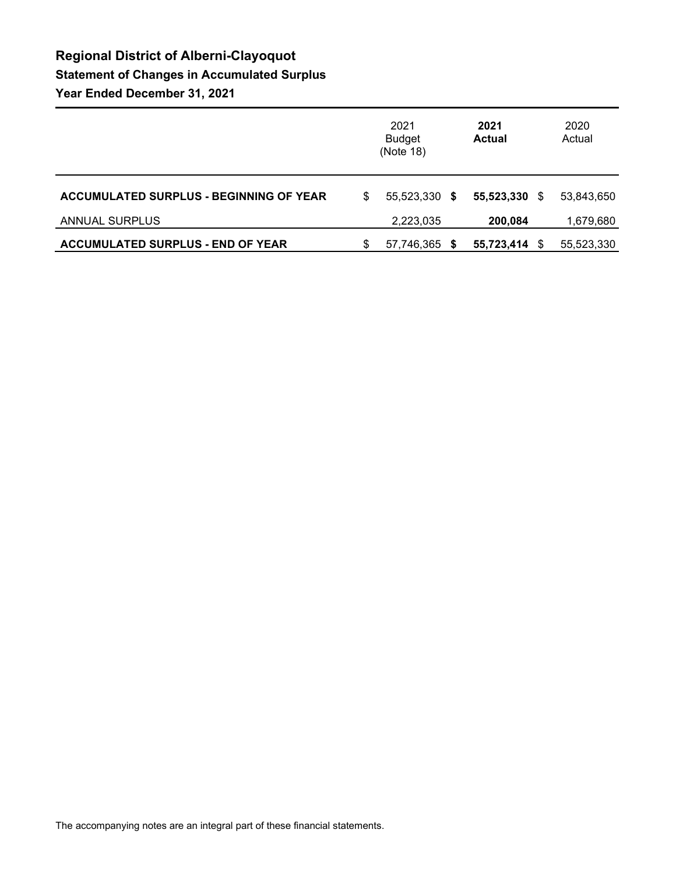# **Regional District of Alberni-Clayoquot Statement of Changes in Accumulated Surplus Year Ended December 31, 2021**

|                                                |   | 2021<br><b>Budget</b><br>(Note 18) | 2021<br><b>Actual</b> |      | 2020<br>Actual |
|------------------------------------------------|---|------------------------------------|-----------------------|------|----------------|
| <b>ACCUMULATED SURPLUS - BEGINNING OF YEAR</b> | S | 55.523.330 \$                      | 55,523,330            | -S   | 53,843,650     |
| <b>ANNUAL SURPLUS</b>                          |   | 2,223,035                          | 200,084               |      | 1,679,680      |
| <b>ACCUMULATED SURPLUS - END OF YEAR</b>       | S | 57,746,365 \$                      | 55,723,414            | - \$ | 55,523,330     |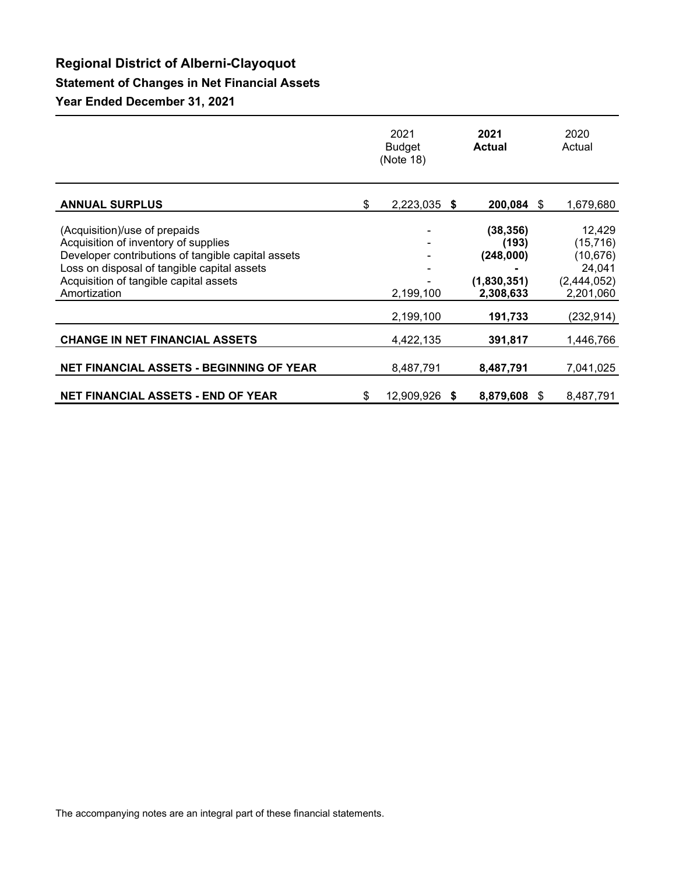# **Regional District of Alberni-Clayoquot**

### **Statement of Changes in Net Financial Assets**

**Year Ended December 31, 2021**

|                                                                                                                                                                                                                                      | 2021<br><b>Budget</b><br>(Note 18) | 2021<br><b>Actual</b>                                       |     | 2020<br>Actual                                                         |
|--------------------------------------------------------------------------------------------------------------------------------------------------------------------------------------------------------------------------------------|------------------------------------|-------------------------------------------------------------|-----|------------------------------------------------------------------------|
| <b>ANNUAL SURPLUS</b>                                                                                                                                                                                                                | \$<br>2,223,035<br>- \$            | 200,084                                                     | S   | 1,679,680                                                              |
| (Acquisition)/use of prepaids<br>Acquisition of inventory of supplies<br>Developer contributions of tangible capital assets<br>Loss on disposal of tangible capital assets<br>Acquisition of tangible capital assets<br>Amortization | 2,199,100                          | (38, 356)<br>(193)<br>(248,000)<br>(1,830,351)<br>2,308,633 |     | 12,429<br>(15, 716)<br>(10, 676)<br>24,041<br>(2,444,052)<br>2,201,060 |
|                                                                                                                                                                                                                                      | 2,199,100                          | 191,733                                                     |     | (232, 914)                                                             |
| <b>CHANGE IN NET FINANCIAL ASSETS</b>                                                                                                                                                                                                | 4,422,135                          | 391,817                                                     |     | 1,446,766                                                              |
| <b>NET FINANCIAL ASSETS - BEGINNING OF YEAR</b>                                                                                                                                                                                      | 8,487,791                          | 8,487,791                                                   |     | 7,041,025                                                              |
| <b>NET FINANCIAL ASSETS - END OF YEAR</b>                                                                                                                                                                                            | \$<br>12,909,926 \$                | 8,879,608                                                   | \$. | 8,487,791                                                              |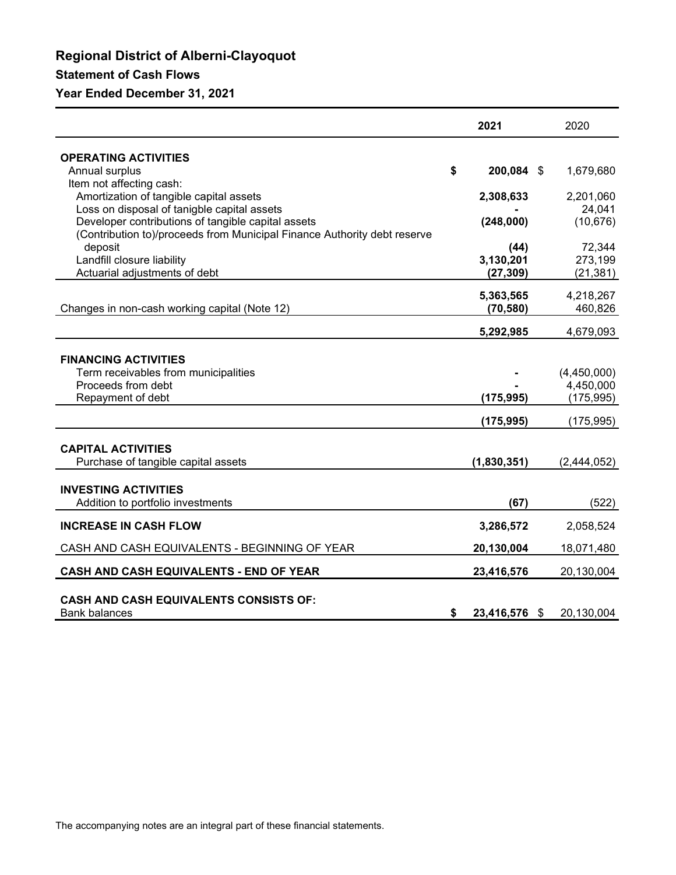# **Regional District of Alberni-Clayoquot Statement of Cash Flows**

### **Year Ended December 31, 2021**

|                                                                                                                                | 2021                   | 2020                 |
|--------------------------------------------------------------------------------------------------------------------------------|------------------------|----------------------|
| <b>OPERATING ACTIVITIES</b>                                                                                                    |                        |                      |
| Annual surplus                                                                                                                 | \$<br>200,084 \$       | 1,679,680            |
| Item not affecting cash:<br>Amortization of tangible capital assets                                                            | 2,308,633              | 2,201,060            |
| Loss on disposal of tanigble capital assets                                                                                    |                        | 24,041               |
| Developer contributions of tangible capital assets<br>(Contribution to)/proceeds from Municipal Finance Authority debt reserve | (248,000)              | (10, 676)            |
| deposit                                                                                                                        | (44)                   | 72,344               |
| Landfill closure liability<br>Actuarial adjustments of debt                                                                    | 3,130,201<br>(27, 309) | 273,199<br>(21, 381) |
|                                                                                                                                |                        |                      |
| Changes in non-cash working capital (Note 12)                                                                                  | 5,363,565<br>(70, 580) | 4,218,267<br>460,826 |
|                                                                                                                                | 5,292,985              | 4,679,093            |
|                                                                                                                                |                        |                      |
| <b>FINANCING ACTIVITIES</b><br>Term receivables from municipalities                                                            |                        | (4,450,000)          |
| Proceeds from debt                                                                                                             |                        | 4,450,000            |
| Repayment of debt                                                                                                              | (175, 995)             | (175, 995)           |
|                                                                                                                                | (175,995)              | (175, 995)           |
| <b>CAPITAL ACTIVITIES</b>                                                                                                      |                        |                      |
| Purchase of tangible capital assets                                                                                            | (1,830,351)            | (2,444,052)          |
| <b>INVESTING ACTIVITIES</b>                                                                                                    |                        |                      |
| Addition to portfolio investments                                                                                              | (67)                   | (522)                |
| <b>INCREASE IN CASH FLOW</b>                                                                                                   | 3,286,572              | 2,058,524            |
| CASH AND CASH EQUIVALENTS - BEGINNING OF YEAR                                                                                  | 20,130,004             | 18,071,480           |
| CASH AND CASH EQUIVALENTS - END OF YEAR                                                                                        | 23,416,576             | 20,130,004           |
| <b>CASH AND CASH EQUIVALENTS CONSISTS OF:</b>                                                                                  |                        |                      |
| <b>Bank balances</b>                                                                                                           | \$<br>23,416,576 \$    | 20,130,004           |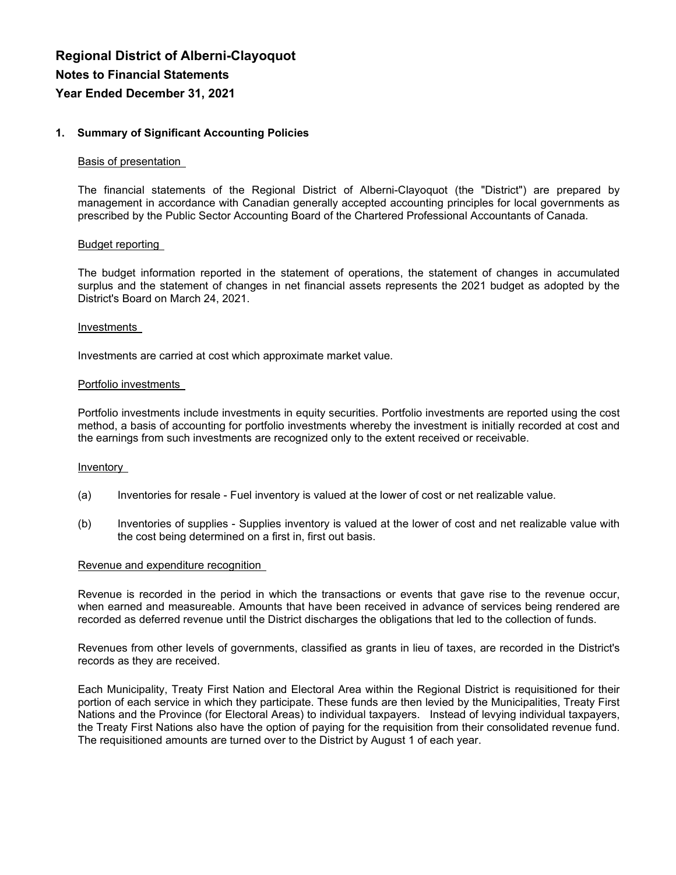#### **1. Summary of Significant Accounting Policies**

#### Basis of presentation

The financial statements of the Regional District of Alberni-Clayoquot (the "District") are prepared by management in accordance with Canadian generally accepted accounting principles for local governments as prescribed by the Public Sector Accounting Board of the Chartered Professional Accountants of Canada.

#### Budget reporting

The budget information reported in the statement of operations, the statement of changes in accumulated surplus and the statement of changes in net financial assets represents the 2021 budget as adopted by the District's Board on March 24, 2021.

#### Investments

Investments are carried at cost which approximate market value.

#### Portfolio investments

Portfolio investments include investments in equity securities. Portfolio investments are reported using the cost method, a basis of accounting for portfolio investments whereby the investment is initially recorded at cost and the earnings from such investments are recognized only to the extent received or receivable.

#### Inventory

- (a) Inventories for resale Fuel inventory is valued at the lower of cost or net realizable value.
- (b) Inventories of supplies Supplies inventory is valued at the lower of cost and net realizable value with the cost being determined on a first in, first out basis.

#### Revenue and expenditure recognition

Revenue is recorded in the period in which the transactions or events that gave rise to the revenue occur, when earned and measureable. Amounts that have been received in advance of services being rendered are recorded as deferred revenue until the District discharges the obligations that led to the collection of funds.

Revenues from other levels of governments, classified as grants in lieu of taxes, are recorded in the District's records as they are received.

Each Municipality, Treaty First Nation and Electoral Area within the Regional District is requisitioned for their portion of each service in which they participate. These funds are then levied by the Municipalities, Treaty First Nations and the Province (for Electoral Areas) to individual taxpayers. Instead of levying individual taxpayers, the Treaty First Nations also have the option of paying for the requisition from their consolidated revenue fund. The requisitioned amounts are turned over to the District by August 1 of each year.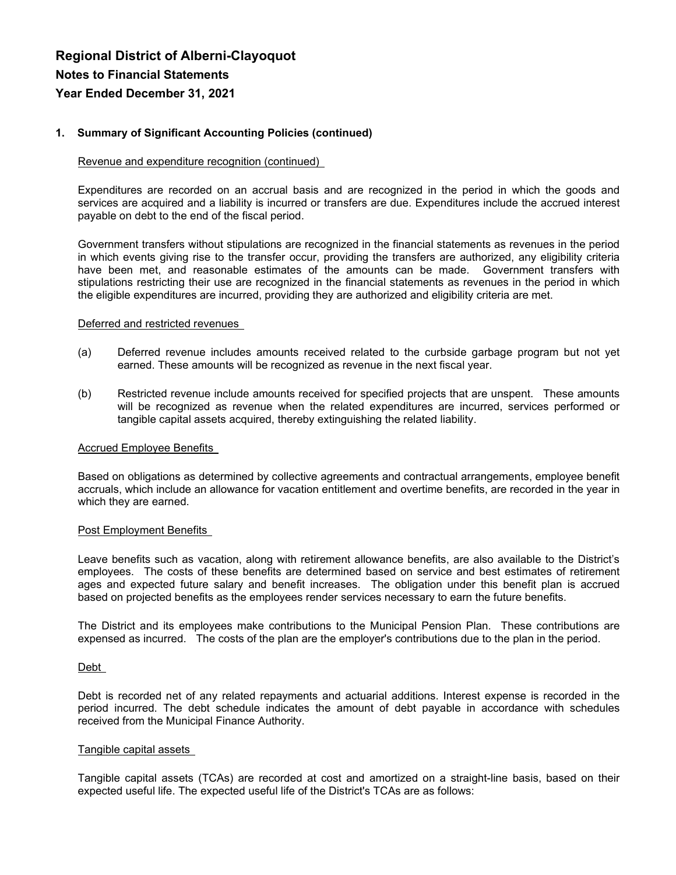### **1. Summary of Significant Accounting Policies (continued)**

### Revenue and expenditure recognition (continued)

Expenditures are recorded on an accrual basis and are recognized in the period in which the goods and services are acquired and a liability is incurred or transfers are due. Expenditures include the accrued interest payable on debt to the end of the fiscal period.

Government transfers without stipulations are recognized in the financial statements as revenues in the period in which events giving rise to the transfer occur, providing the transfers are authorized, any eligibility criteria have been met, and reasonable estimates of the amounts can be made. Government transfers with stipulations restricting their use are recognized in the financial statements as revenues in the period in which the eligible expenditures are incurred, providing they are authorized and eligibility criteria are met.

### Deferred and restricted revenues

- (a) Deferred revenue includes amounts received related to the curbside garbage program but not yet earned. These amounts will be recognized as revenue in the next fiscal year.
- (b) Restricted revenue include amounts received for specified projects that are unspent. These amounts will be recognized as revenue when the related expenditures are incurred, services performed or tangible capital assets acquired, thereby extinguishing the related liability.

### Accrued Employee Benefits

Based on obligations as determined by collective agreements and contractual arrangements, employee benefit accruals, which include an allowance for vacation entitlement and overtime benefits, are recorded in the year in which they are earned.

### Post Employment Benefits

Leave benefits such as vacation, along with retirement allowance benefits, are also available to the District's employees. The costs of these benefits are determined based on service and best estimates of retirement ages and expected future salary and benefit increases. The obligation under this benefit plan is accrued based on projected benefits as the employees render services necessary to earn the future benefits.

The District and its employees make contributions to the Municipal Pension Plan. These contributions are expensed as incurred. The costs of the plan are the employer's contributions due to the plan in the period.

### Debt

Debt is recorded net of any related repayments and actuarial additions. Interest expense is recorded in the period incurred. The debt schedule indicates the amount of debt payable in accordance with schedules received from the Municipal Finance Authority.

#### Tangible capital assets

Tangible capital assets (TCAs) are recorded at cost and amortized on a straight-line basis, based on their expected useful life. The expected useful life of the District's TCAs are as follows: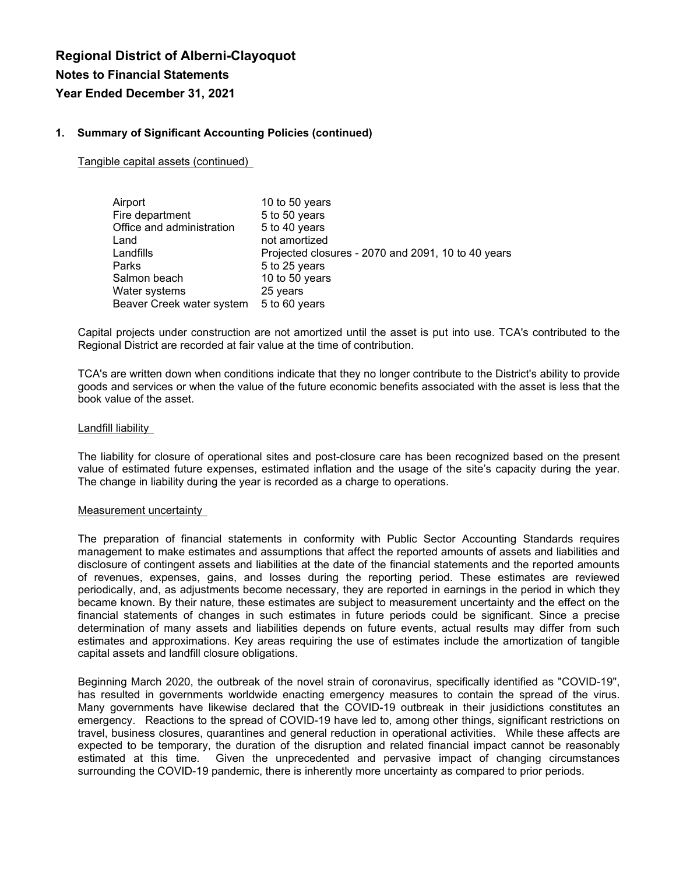#### **1. Summary of Significant Accounting Policies (continued)**

Tangible capital assets (continued)

| Airport                   | 10 to 50 years                                     |
|---------------------------|----------------------------------------------------|
| Fire department           | 5 to 50 years                                      |
| Office and administration | 5 to 40 years                                      |
| Land                      | not amortized                                      |
| Landfills                 | Projected closures - 2070 and 2091, 10 to 40 years |
| Parks                     | 5 to 25 years                                      |
| Salmon beach              | 10 to 50 years                                     |
| Water systems             | 25 years                                           |
| Beaver Creek water system | 5 to 60 years                                      |

Capital projects under construction are not amortized until the asset is put into use. TCA's contributed to the Regional District are recorded at fair value at the time of contribution.

TCA's are written down when conditions indicate that they no longer contribute to the District's ability to provide goods and services or when the value of the future economic benefits associated with the asset is less that the book value of the asset.

#### Landfill liability

The liability for closure of operational sites and post-closure care has been recognized based on the present value of estimated future expenses, estimated inflation and the usage of the site's capacity during the year. The change in liability during the year is recorded as a charge to operations.

#### Measurement uncertainty

The preparation of financial statements in conformity with Public Sector Accounting Standards requires management to make estimates and assumptions that affect the reported amounts of assets and liabilities and disclosure of contingent assets and liabilities at the date of the financial statements and the reported amounts of revenues, expenses, gains, and losses during the reporting period. These estimates are reviewed periodically, and, as adjustments become necessary, they are reported in earnings in the period in which they became known. By their nature, these estimates are subject to measurement uncertainty and the effect on the financial statements of changes in such estimates in future periods could be significant. Since a precise determination of many assets and liabilities depends on future events, actual results may differ from such estimates and approximations. Key areas requiring the use of estimates include the amortization of tangible capital assets and landfill closure obligations.

Beginning March 2020, the outbreak of the novel strain of coronavirus, specifically identified as "COVID-19", has resulted in governments worldwide enacting emergency measures to contain the spread of the virus. Many governments have likewise declared that the COVID-19 outbreak in their jusidictions constitutes an emergency. Reactions to the spread of COVID-19 have led to, among other things, significant restrictions on travel, business closures, quarantines and general reduction in operational activities. While these affects are expected to be temporary, the duration of the disruption and related financial impact cannot be reasonably estimated at this time. Given the unprecedented and pervasive impact of changing circumstances surrounding the COVID-19 pandemic, there is inherently more uncertainty as compared to prior periods.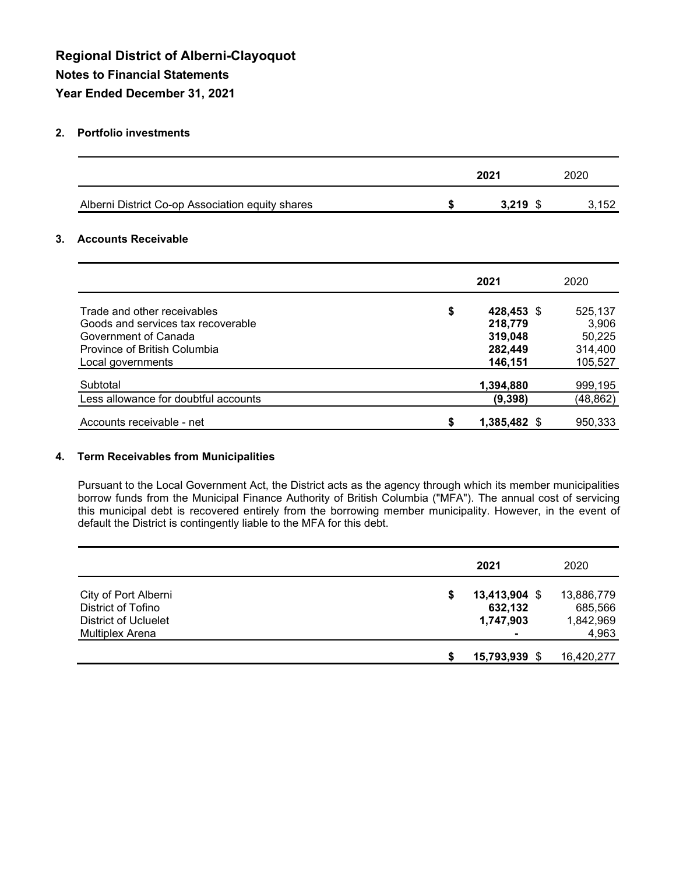#### **2. Portfolio investments**

|                                                  | 2021               | 2020     |
|--------------------------------------------------|--------------------|----------|
| Alberni District Co-op Association equity shares | \$<br>$3,219$ \$   | 3,152    |
| <b>Accounts Receivable</b>                       |                    |          |
|                                                  | 2021               | 2020     |
| Trade and other receivables                      | \$<br>428,453 \$   | 525,137  |
| Goods and services tax recoverable               | 218,779            | 3,906    |
| Government of Canada                             | 319,048            | 50,225   |
| Province of British Columbia                     | 282,449            | 314,400  |
| Local governments                                | 146,151            | 105,527  |
| Subtotal                                         | 1,394,880          | 999,195  |
| ess allowance for doubtful accounts              | (9, 398)           | (48,862) |
| Accounts receivable - net                        | \$<br>1,385,482 \$ | 950,333  |

#### **4. Term Receivables from Municipalities**

Pursuant to the Local Government Act, the District acts as the agency through which its member municipalities borrow funds from the Municipal Finance Authority of British Columbia ("MFA"). The annual cost of servicing this municipal debt is recovered entirely from the borrowing member municipality. However, in the event of default the District is contingently liable to the MFA for this debt.

|                                                                                                     | 2021                                          | 2020                                        |
|-----------------------------------------------------------------------------------------------------|-----------------------------------------------|---------------------------------------------|
| City of Port Alberni<br>District of Tofino<br><b>District of Ucluelet</b><br><b>Multiplex Arena</b> | \$<br>$13,413,904$ \$<br>632,132<br>1,747,903 | 13,886,779<br>685,566<br>1,842,969<br>4,963 |
|                                                                                                     | 15,793,939 \$                                 | 16,420,277                                  |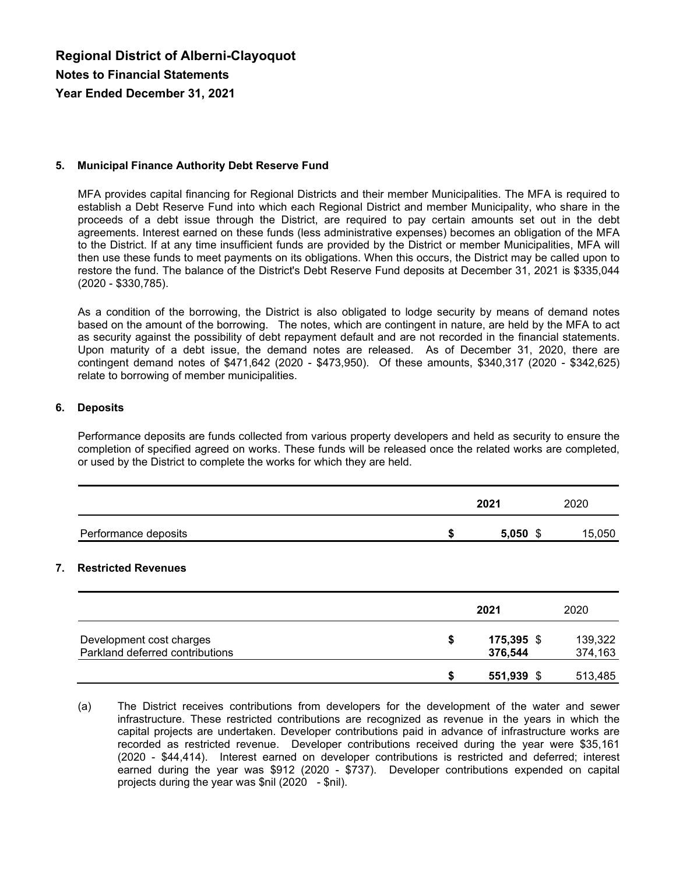#### **5. Municipal Finance Authority Debt Reserve Fund**

MFA provides capital financing for Regional Districts and their member Municipalities. The MFA is required to establish a Debt Reserve Fund into which each Regional District and member Municipality, who share in the proceeds of a debt issue through the District, are required to pay certain amounts set out in the debt agreements. Interest earned on these funds (less administrative expenses) becomes an obligation of the MFA to the District. If at any time insufficient funds are provided by the District or member Municipalities, MFA will then use these funds to meet payments on its obligations. When this occurs, the District may be called upon to restore the fund. The balance of the District's Debt Reserve Fund deposits at December 31, 2021 is \$335,044 (2020 - \$330,785).

As a condition of the borrowing, the District is also obligated to lodge security by means of demand notes based on the amount of the borrowing. The notes, which are contingent in nature, are held by the MFA to act as security against the possibility of debt repayment default and are not recorded in the financial statements. Upon maturity of a debt issue, the demand notes are released. As of December 31, 2020, there are contingent demand notes of \$471,642 (2020 - \$473,950). Of these amounts, \$340,317 (2020 - \$342,625) relate to borrowing of member municipalities.

#### **6. Deposits**

Performance deposits are funds collected from various property developers and held as security to ensure the completion of specified agreed on works. These funds will be released once the related works are completed, or used by the District to complete the works for which they are held.

|                      |    | 2021  | 2020   |
|----------------------|----|-------|--------|
| Performance deposits | -0 | 5.050 | 15,050 |

#### **7. Restricted Revenues**

|                                                             |   | 2021                  | 2020               |
|-------------------------------------------------------------|---|-----------------------|--------------------|
| Development cost charges<br>Parkland deferred contributions | S | 175,395 \$<br>376,544 | 139,322<br>374,163 |
|                                                             |   | 551,939 \$            | 513,485            |

<sup>(</sup>a) The District receives contributions from developers for the development of the water and sewer infrastructure. These restricted contributions are recognized as revenue in the years in which the capital projects are undertaken. Developer contributions paid in advance of infrastructure works are recorded as restricted revenue. Developer contributions received during the year were \$35,161 (2020 - \$44,414). Interest earned on developer contributions is restricted and deferred; interest earned during the year was \$912 (2020 - \$737). Developer contributions expended on capital projects during the year was \$nil (2020 - \$nil).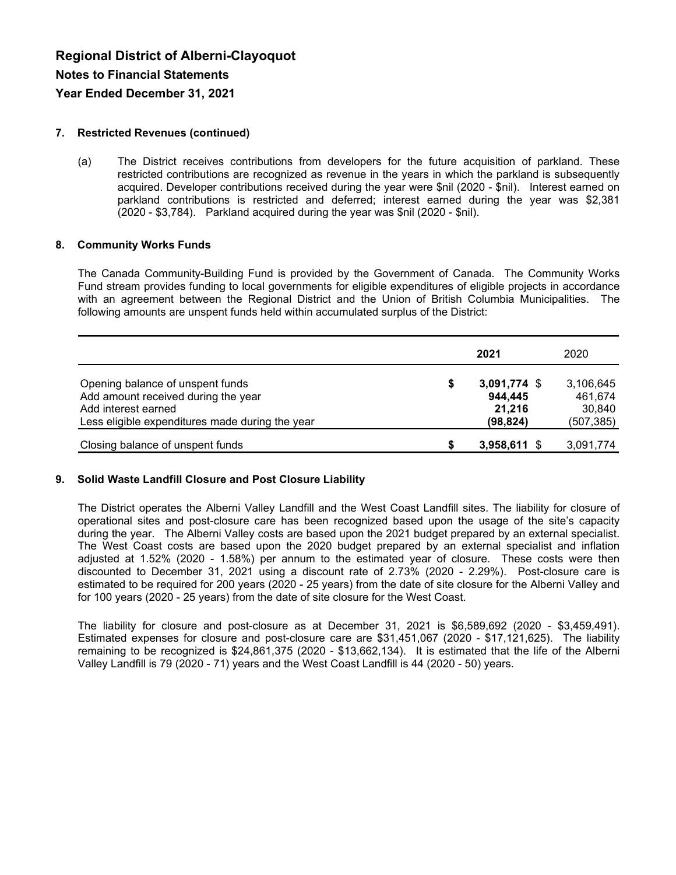### **7. Restricted Revenues (continued)**

(a) The District receives contributions from developers for the future acquisition of parkland. These restricted contributions are recognized as revenue in the years in which the parkland is subsequently acquired. Developer contributions received during the year were \$nil (2020 - \$nil). Interest earned on parkland contributions is restricted and deferred; interest earned during the year was \$2,381 (2020 - \$3,784). Parkland acquired during the year was \$nil (2020 - \$nil).

### **8. Community Works Funds**

The Canada Community-Building Fund is provided by the Government of Canada. The Community Works Fund stream provides funding to local governments for eligible expenditures of eligible projects in accordance with an agreement between the Regional District and the Union of British Columbia Municipalities. The following amounts are unspent funds held within accumulated surplus of the District:

|                                                                                                                                                   | 2021                                                   | 2020                                         |
|---------------------------------------------------------------------------------------------------------------------------------------------------|--------------------------------------------------------|----------------------------------------------|
| Opening balance of unspent funds<br>Add amount received during the year<br>Add interest earned<br>Less eligible expenditures made during the year | \$<br>$3,091,774$ \$<br>944,445<br>21,216<br>(98, 824) | 3,106,645<br>461,674<br>30,840<br>(507, 385) |
| Closing balance of unspent funds                                                                                                                  | 3,958,611 \$                                           | 3,091,774                                    |

### **9. Solid Waste Landfill Closure and Post Closure Liability**

The District operates the Alberni Valley Landfill and the West Coast Landfill sites. The liability for closure of operational sites and post-closure care has been recognized based upon the usage of the site's capacity during the year. The Alberni Valley costs are based upon the 2021 budget prepared by an external specialist. The West Coast costs are based upon the 2020 budget prepared by an external specialist and inflation adjusted at 1.52% (2020 - 1.58%) per annum to the estimated year of closure. These costs were then discounted to December 31, 2021 using a discount rate of 2.73% (2020 - 2.29%). Post-closure care is estimated to be required for 200 years (2020 - 25 years) from the date of site closure for the Alberni Valley and for 100 years (2020 - 25 years) from the date of site closure for the West Coast.

The liability for closure and post-closure as at December 31, 2021 is \$6,589,692 (2020 - \$3,459,491). Estimated expenses for closure and post-closure care are \$31,451,067 (2020 - \$17,121,625). The liability remaining to be recognized is \$24,861,375 (2020 - \$13,662,134). It is estimated that the life of the Alberni Valley Landfill is 79 (2020 - 71) years and the West Coast Landfill is 44 (2020 - 50) years.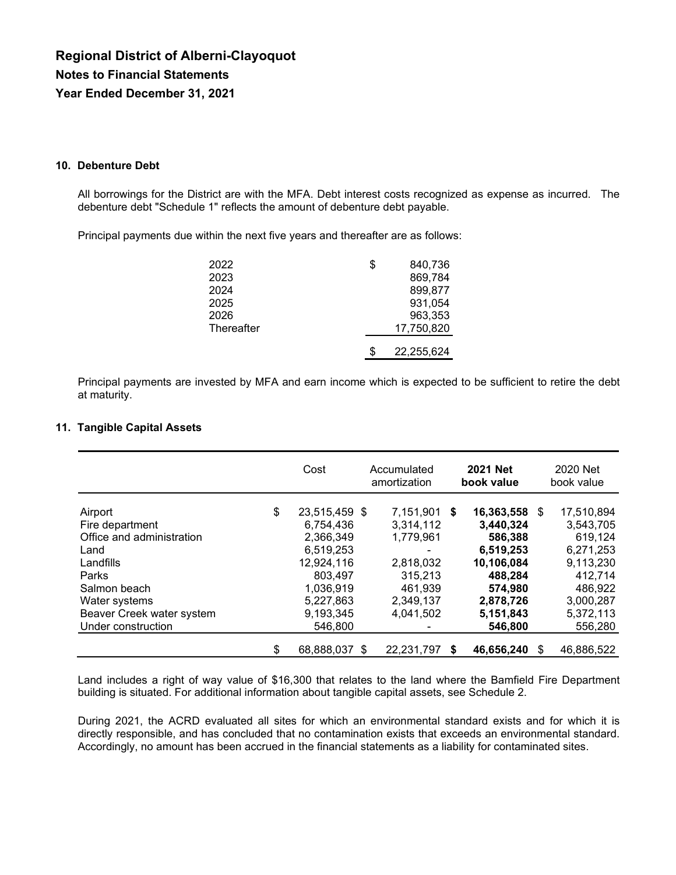#### **10. Debenture Debt**

All borrowings for the District are with the MFA. Debt interest costs recognized as expense as incurred. The debenture debt "Schedule 1" reflects the amount of debenture debt payable.

Principal payments due within the next five years and thereafter are as follows:

| 2022       | \$ | 840,736    |
|------------|----|------------|
| 2023       |    | 869,784    |
| 2024       |    | 899,877    |
| 2025       |    | 931,054    |
| 2026       |    | 963,353    |
| Thereafter |    | 17,750,820 |
|            | S  | 22,255,624 |

Principal payments are invested by MFA and earn income which is expected to be sufficient to retire the debt at maturity.

#### **11. Tangible Capital Assets**

|                           | Cost                | Accumulated<br>amortization |    | <b>2021 Net</b><br>book value | 2020 Net<br>book value |
|---------------------------|---------------------|-----------------------------|----|-------------------------------|------------------------|
| Airport                   | \$<br>23,515,459 \$ | 7,151,901                   | -S | 16,363,558 \$                 | 17,510,894             |
| Fire department           | 6,754,436           | 3,314,112                   |    | 3,440,324                     | 3,543,705              |
| Office and administration | 2,366,349           | 1.779.961                   |    | 586,388                       | 619.124                |
| Land                      | 6.519.253           |                             |    | 6,519,253                     | 6,271,253              |
| Landfills                 | 12,924,116          | 2,818,032                   |    | 10,106,084                    | 9,113,230              |
| <b>Parks</b>              | 803,497             | 315,213                     |    | 488,284                       | 412,714                |
| Salmon beach              | 1,036,919           | 461,939                     |    | 574,980                       | 486,922                |
| Water systems             | 5,227,863           | 2,349,137                   |    | 2,878,726                     | 3,000,287              |
| Beaver Creek water system | 9,193,345           | 4,041,502                   |    | 5,151,843                     | 5,372,113              |
| Under construction        | 546,800             |                             |    | 546,800                       | 556,280                |
|                           | \$<br>68,888,037 \$ | 22,231,797                  | S  | 46,656,240                    | 46,886,522             |

Land includes a right of way value of \$16,300 that relates to the land where the Bamfield Fire Department building is situated. For additional information about tangible capital assets, see Schedule 2.

During 2021, the ACRD evaluated all sites for which an environmental standard exists and for which it is directly responsible, and has concluded that no contamination exists that exceeds an environmental standard. Accordingly, no amount has been accrued in the financial statements as a liability for contaminated sites.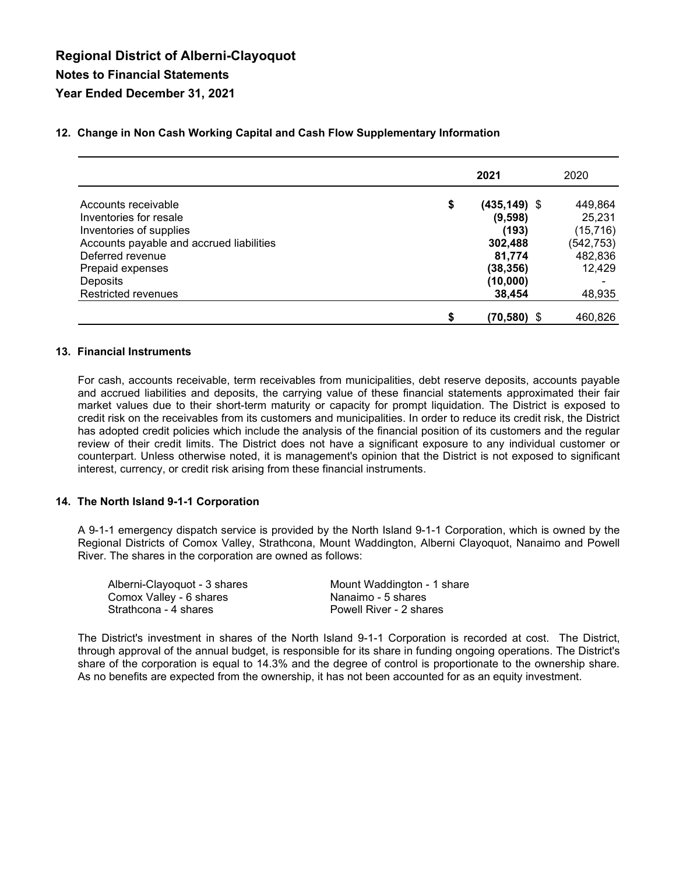| 2021                                                           | 2020                                                    |
|----------------------------------------------------------------|---------------------------------------------------------|
| \$<br>$(435, 149)$ \$<br>(9,598)<br>(193)<br>302,488<br>81,774 | 449,864<br>25,231<br>(15, 716)<br>(542, 753)<br>482,836 |
| (38, 356)<br>(10,000)<br>38,454                                | 12,429<br>48,935<br>460,826                             |
| \$                                                             | $(70, 580)$ \$                                          |

#### **12. Change in Non Cash Working Capital and Cash Flow Supplementary Information**

#### **13. Financial Instruments**

For cash, accounts receivable, term receivables from municipalities, debt reserve deposits, accounts payable and accrued liabilities and deposits, the carrying value of these financial statements approximated their fair market values due to their short-term maturity or capacity for prompt liquidation. The District is exposed to credit risk on the receivables from its customers and municipalities. In order to reduce its credit risk, the District has adopted credit policies which include the analysis of the financial position of its customers and the regular review of their credit limits. The District does not have a significant exposure to any individual customer or counterpart. Unless otherwise noted, it is management's opinion that the District is not exposed to significant interest, currency, or credit risk arising from these financial instruments.

#### **14. The North Island 9-1-1 Corporation**

A 9-1-1 emergency dispatch service is provided by the North Island 9-1-1 Corporation, which is owned by the Regional Districts of Comox Valley, Strathcona, Mount Waddington, Alberni Clayoquot, Nanaimo and Powell River. The shares in the corporation are owned as follows:

| Alberni-Clayoquot - 3 shares | Mount Waddington - 1 share |
|------------------------------|----------------------------|
| Comox Valley - 6 shares      | Nanaimo - 5 shares         |
| Strathcona - 4 shares        | Powell River - 2 shares    |

The District's investment in shares of the North Island 9-1-1 Corporation is recorded at cost. The District, through approval of the annual budget, is responsible for its share in funding ongoing operations. The District's share of the corporation is equal to 14.3% and the degree of control is proportionate to the ownership share. As no benefits are expected from the ownership, it has not been accounted for as an equity investment.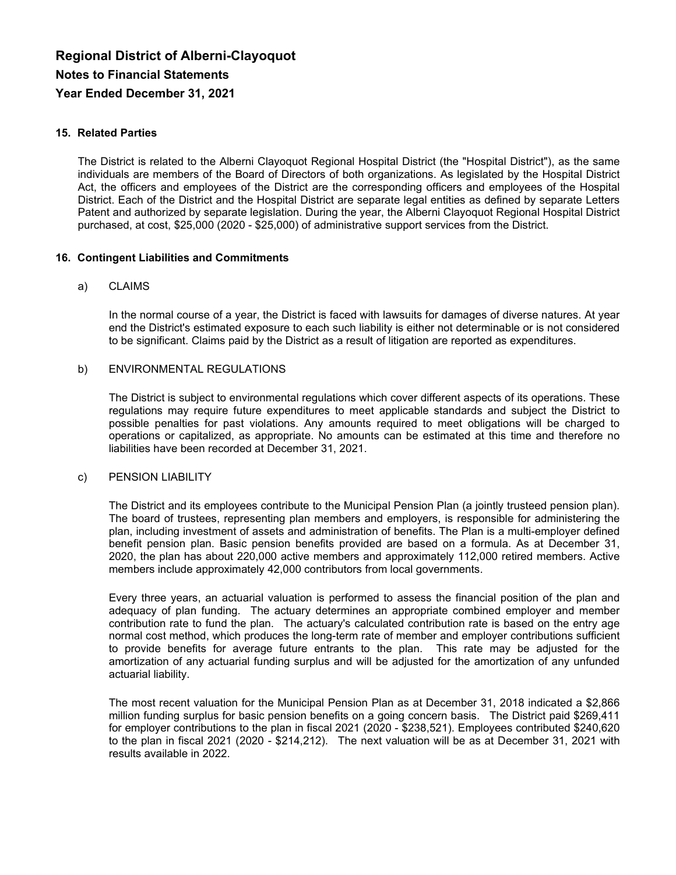#### **15. Related Parties**

The District is related to the Alberni Clayoquot Regional Hospital District (the "Hospital District"), as the same individuals are members of the Board of Directors of both organizations. As legislated by the Hospital District Act, the officers and employees of the District are the corresponding officers and employees of the Hospital District. Each of the District and the Hospital District are separate legal entities as defined by separate Letters Patent and authorized by separate legislation. During the year, the Alberni Clayoquot Regional Hospital District purchased, at cost, \$25,000 (2020 - \$25,000) of administrative support services from the District.

#### **16. Contingent Liabilities and Commitments**

#### a) CLAIMS

In the normal course of a year, the District is faced with lawsuits for damages of diverse natures. At year end the District's estimated exposure to each such liability is either not determinable or is not considered to be significant. Claims paid by the District as a result of litigation are reported as expenditures.

#### b) ENVIRONMENTAL REGULATIONS

The District is subject to environmental regulations which cover different aspects of its operations. These regulations may require future expenditures to meet applicable standards and subject the District to possible penalties for past violations. Any amounts required to meet obligations will be charged to operations or capitalized, as appropriate. No amounts can be estimated at this time and therefore no liabilities have been recorded at December 31, 2021.

#### c) PENSION LIABILITY

The District and its employees contribute to the Municipal Pension Plan (a jointly trusteed pension plan). The board of trustees, representing plan members and employers, is responsible for administering the plan, including investment of assets and administration of benefits. The Plan is a multi-employer defined benefit pension plan. Basic pension benefits provided are based on a formula. As at December 31, 2020, the plan has about 220,000 active members and approximately 112,000 retired members. Active members include approximately 42,000 contributors from local governments.

Every three years, an actuarial valuation is performed to assess the financial position of the plan and adequacy of plan funding. The actuary determines an appropriate combined employer and member contribution rate to fund the plan. The actuary's calculated contribution rate is based on the entry age normal cost method, which produces the long-term rate of member and employer contributions sufficient to provide benefits for average future entrants to the plan. This rate may be adjusted for the amortization of any actuarial funding surplus and will be adjusted for the amortization of any unfunded actuarial liability.

The most recent valuation for the Municipal Pension Plan as at December 31, 2018 indicated a \$2,866 million funding surplus for basic pension benefits on a going concern basis. The District paid \$269,411 for employer contributions to the plan in fiscal 2021 (2020 - \$238,521). Employees contributed \$240,620 to the plan in fiscal 2021 (2020 - \$214,212). The next valuation will be as at December 31, 2021 with results available in 2022.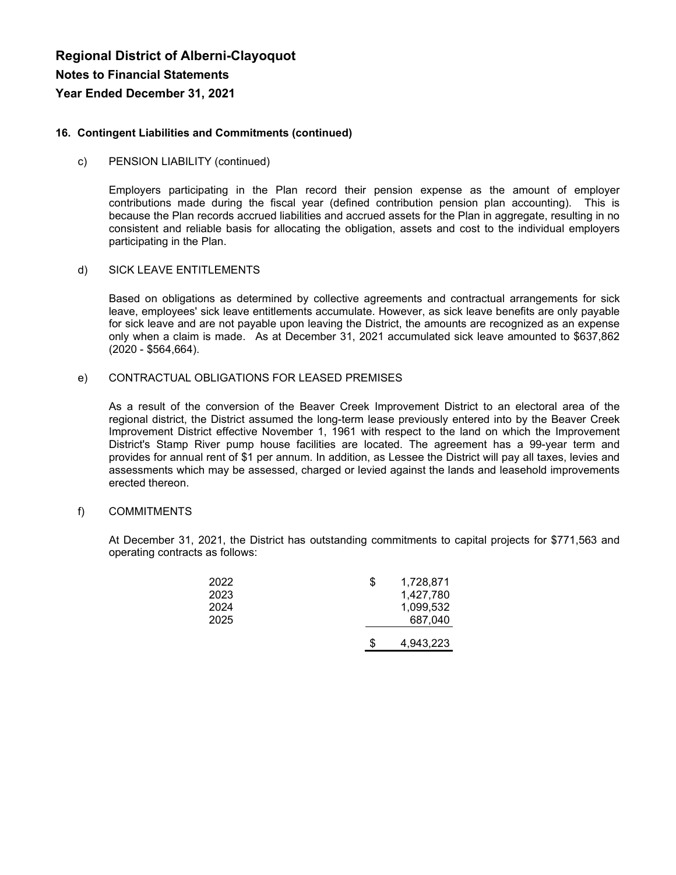#### **16. Contingent Liabilities and Commitments (continued)**

#### c) PENSION LIABILITY (continued)

Employers participating in the Plan record their pension expense as the amount of employer contributions made during the fiscal year (defined contribution pension plan accounting). This is because the Plan records accrued liabilities and accrued assets for the Plan in aggregate, resulting in no consistent and reliable basis for allocating the obligation, assets and cost to the individual employers participating in the Plan.

#### d) SICK LEAVE ENTITLEMENTS

Based on obligations as determined by collective agreements and contractual arrangements for sick leave, employees' sick leave entitlements accumulate. However, as sick leave benefits are only payable for sick leave and are not payable upon leaving the District, the amounts are recognized as an expense only when a claim is made. As at December 31, 2021 accumulated sick leave amounted to \$637,862 (2020 - \$564,664).

#### e) CONTRACTUAL OBLIGATIONS FOR LEASED PREMISES

As a result of the conversion of the Beaver Creek Improvement District to an electoral area of the regional district, the District assumed the long-term lease previously entered into by the Beaver Creek Improvement District effective November 1, 1961 with respect to the land on which the Improvement District's Stamp River pump house facilities are located. The agreement has a 99-year term and provides for annual rent of \$1 per annum. In addition, as Lessee the District will pay all taxes, levies and assessments which may be assessed, charged or levied against the lands and leasehold improvements erected thereon.

#### f) COMMITMENTS

At December 31, 2021, the District has outstanding commitments to capital projects for \$771,563 and operating contracts as follows:

| 2022<br>2023 | \$ | 1,728,871<br>1,427,780 |
|--------------|----|------------------------|
| 2024<br>2025 |    | 1,099,532<br>687,040   |
|              | S  | 4,943,223              |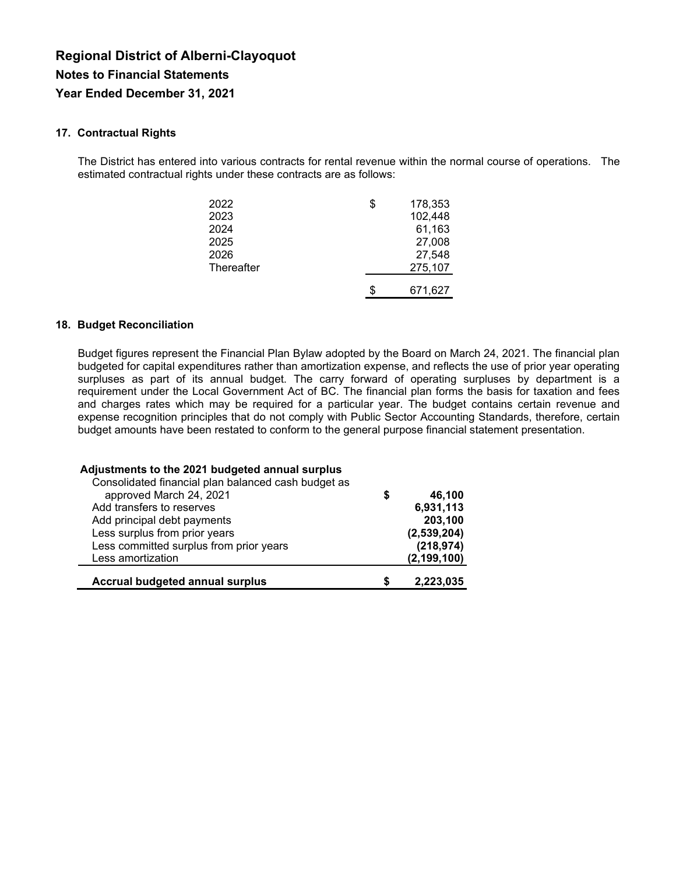#### **17. Contractual Rights**

The District has entered into various contracts for rental revenue within the normal course of operations. The estimated contractual rights under these contracts are as follows:

| 2022       | \$ | 178,353 |
|------------|----|---------|
| 2023       |    | 102,448 |
| 2024       |    | 61,163  |
| 2025       |    | 27,008  |
| 2026       |    | 27,548  |
| Thereafter |    | 275,107 |
|            |    |         |
|            | S  | 671,627 |

#### **18. Budget Reconciliation**

Budget figures represent the Financial Plan Bylaw adopted by the Board on March 24, 2021. The financial plan budgeted for capital expenditures rather than amortization expense, and reflects the use of prior year operating surpluses as part of its annual budget. The carry forward of operating surpluses by department is a requirement under the Local Government Act of BC. The financial plan forms the basis for taxation and fees and charges rates which may be required for a particular year. The budget contains certain revenue and expense recognition principles that do not comply with Public Sector Accounting Standards, therefore, certain budget amounts have been restated to conform to the general purpose financial statement presentation.

| Adjustments to the 2021 budgeted annual surplus<br>Consolidated financial plan balanced cash budget as |    |               |
|--------------------------------------------------------------------------------------------------------|----|---------------|
| approved March 24, 2021                                                                                | \$ | 46,100        |
| Add transfers to reserves                                                                              |    | 6,931,113     |
| Add principal debt payments                                                                            |    | 203,100       |
| Less surplus from prior years                                                                          |    | (2,539,204)   |
| Less committed surplus from prior years                                                                |    | (218, 974)    |
| Less amortization                                                                                      |    | (2, 199, 100) |
| <b>Accrual budgeted annual surplus</b>                                                                 | S  | 2,223,035     |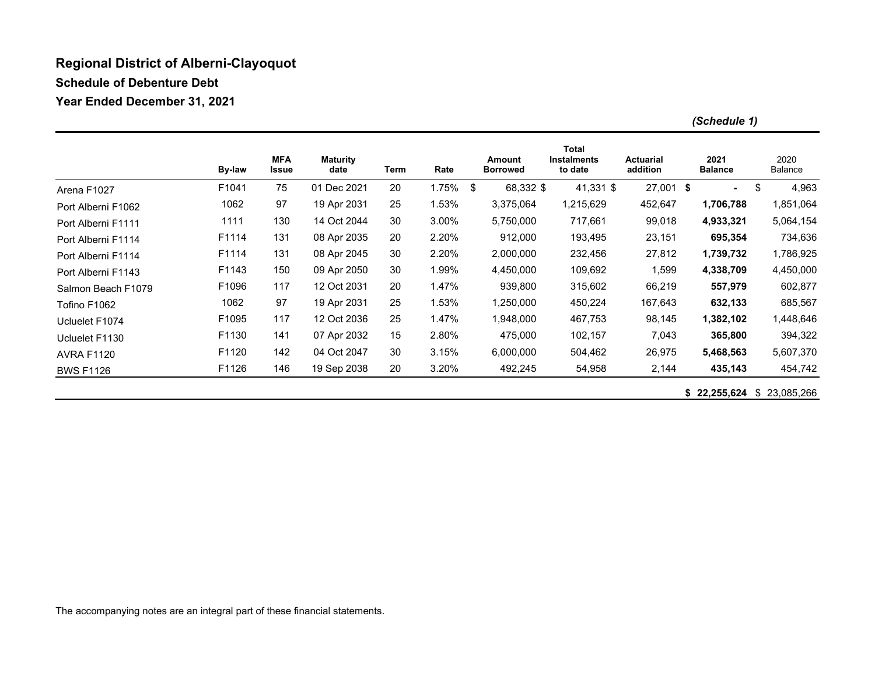### **Regional District of Alberni-Clayoquot**

**Schedule of Debenture Debt**

**Year Ended December 31, 2021** 

|                    | By-law | <b>MFA</b><br>Issue | <b>Maturity</b><br>date | Term | Rate  | <b>Amount</b><br><b>Borrowed</b> | <b>Total</b><br><b>Instalments</b><br>to date | <b>Actuarial</b><br>addition | 2021<br><b>Balance</b> | 2020<br>Balance |
|--------------------|--------|---------------------|-------------------------|------|-------|----------------------------------|-----------------------------------------------|------------------------------|------------------------|-----------------|
| Arena F1027        | F1041  | 75                  | 01 Dec 2021             | 20   | 1.75% | \$<br>68,332 \$                  | $41,331$ \$                                   | $27,001$ \$                  | $\blacksquare$         | \$<br>4,963     |
| Port Alberni F1062 | 1062   | 97                  | 19 Apr 2031             | 25   | 1.53% | 3,375,064                        | 1,215,629                                     | 452,647                      | 1,706,788              | 1,851,064       |
| Port Alberni F1111 | 1111   | 130                 | 14 Oct 2044             | 30   | 3.00% | 5,750,000                        | 717,661                                       | 99,018                       | 4,933,321              | 5,064,154       |
| Port Alberni F1114 | F1114  | 131                 | 08 Apr 2035             | 20   | 2.20% | 912,000                          | 193,495                                       | 23,151                       | 695,354                | 734,636         |
| Port Alberni F1114 | F1114  | 131                 | 08 Apr 2045             | 30   | 2.20% | 2,000,000                        | 232,456                                       | 27,812                       | 1,739,732              | 1,786,925       |
| Port Alberni F1143 | F1143  | 150                 | 09 Apr 2050             | 30   | 1.99% | 4,450,000                        | 109,692                                       | 1,599                        | 4,338,709              | 4,450,000       |
| Salmon Beach F1079 | F1096  | 117                 | 12 Oct 2031             | 20   | 1.47% | 939,800                          | 315,602                                       | 66,219                       | 557,979                | 602,877         |
| Tofino F1062       | 1062   | 97                  | 19 Apr 2031             | 25   | 1.53% | 1,250,000                        | 450,224                                       | 167,643                      | 632,133                | 685,567         |
| Ucluelet F1074     | F1095  | 117                 | 12 Oct 2036             | 25   | 1.47% | 1,948,000                        | 467,753                                       | 98,145                       | 1,382,102              | 1,448,646       |
| Ucluelet F1130     | F1130  | 141                 | 07 Apr 2032             | 15   | 2.80% | 475,000                          | 102,157                                       | 7,043                        | 365,800                | 394,322         |
| <b>AVRA F1120</b>  | F1120  | 142                 | 04 Oct 2047             | 30   | 3.15% | 6,000,000                        | 504,462                                       | 26,975                       | 5,468,563              | 5,607,370       |
| <b>BWS F1126</b>   | F1126  | 146                 | 19 Sep 2038             | 20   | 3.20% | 492,245                          | 54,958                                        | 2,144                        | 435,143                | 454,742         |

**\$ 22,255,624** \$ 23,085,266

*(Schedule 1)*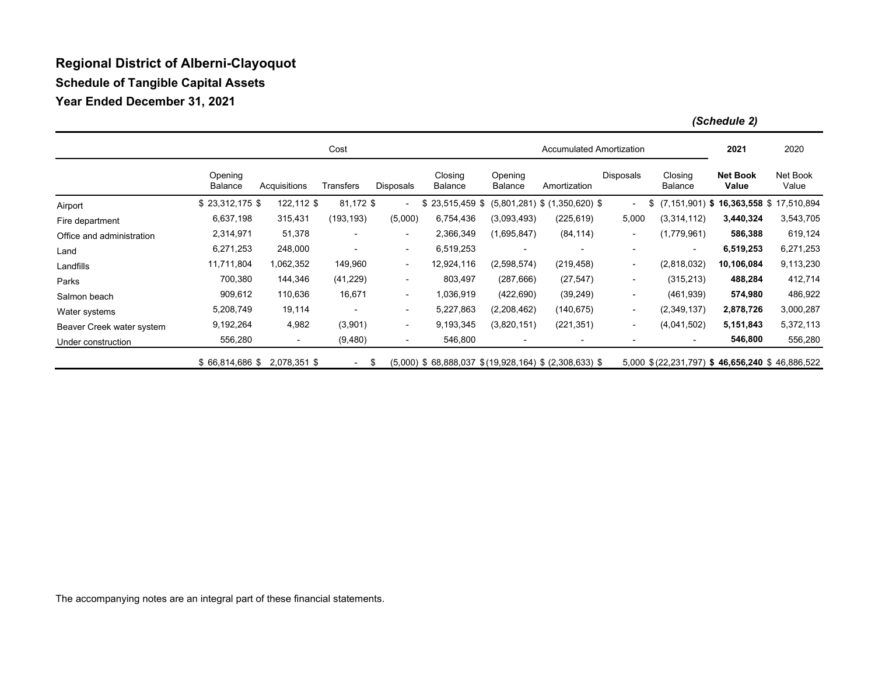# **Regional District of Alberni-Clayoquot Schedule of Tangible Capital Assets Year Ended December 31, 2021**

|                           | Cost                      |                          |                          |                          |                                                           |                    | Accumulated Amortization          |                          |                                                |                                             | 2020              |
|---------------------------|---------------------------|--------------------------|--------------------------|--------------------------|-----------------------------------------------------------|--------------------|-----------------------------------|--------------------------|------------------------------------------------|---------------------------------------------|-------------------|
|                           | Opening<br><b>Balance</b> | Acquisitions             | Transfers                | Disposals                | Closing<br><b>Balance</b>                                 | Opening<br>Balance | Amortization                      | Disposals                | Closing<br>Balance                             | <b>Net Book</b><br>Value                    | Net Book<br>Value |
| Airport                   | $$23,312,175$ \$          | 122,112 \$               | 81,172 \$                | $\overline{\phantom{a}}$ | $$23,515,459$ \$                                          |                    | $(5,801,281)$ \$ $(1,350,620)$ \$ | $\blacksquare$           | \$                                             | $(7, 151, 901)$ \$ 16,363,558 \$ 17,510,894 |                   |
| Fire department           | 6,637,198                 | 315,431                  | (193, 193)               | (5,000)                  | 6,754,436                                                 | (3,093,493)        | (225, 619)                        | 5,000                    | (3,314,112)                                    | 3,440,324                                   | 3,543,705         |
| Office and administration | 2,314,971                 | 51,378                   | $\overline{\phantom{a}}$ | $\overline{\phantom{0}}$ | 2,366,349                                                 | (1,695,847)        | (84, 114)                         | $\sim$                   | (1,779,961)                                    | 586,388                                     | 619,124           |
| Land                      | 6,271,253                 | 248,000                  |                          | ۰.                       | 6,519,253                                                 |                    |                                   | -                        | $\overline{\phantom{a}}$                       | 6,519,253                                   | 6,271,253         |
| Landfills                 | 11,711,804                | 1,062,352                | 149,960                  | ۰.                       | 12,924,116                                                | (2,598,574)        | (219, 458)                        | $\blacksquare$           | (2,818,032)                                    | 10,106,084                                  | 9,113,230         |
| Parks                     | 700,380                   | 144,346                  | (41, 229)                | ۰.                       | 803,497                                                   | (287, 666)         | (27, 547)                         | $\blacksquare$           | (315, 213)                                     | 488,284                                     | 412,714           |
| Salmon beach              | 909,612                   | 110,636                  | 16,671                   | $\overline{\phantom{a}}$ | 1,036,919                                                 | (422, 690)         | (39, 249)                         | $\overline{\phantom{a}}$ | (461, 939)                                     | 574,980                                     | 486,922           |
| Water systems             | 5,208,749                 | 19,114                   |                          | ۰.                       | 5,227,863                                                 | (2,208,462)        | (140, 675)                        | $\blacksquare$           | (2,349,137)                                    | 2,878,726                                   | 3,000,287         |
| Beaver Creek water system | 9,192,264                 | 4,982                    | (3,901)                  | ۰.                       | 9,193,345                                                 | (3,820,151)        | (221, 351)                        | $\sim$                   | (4,041,502)                                    | 5,151,843                                   | 5,372,113         |
| Under construction        | 556,280                   | $\overline{\phantom{a}}$ | (9,480)                  | ۰.                       | 546,800                                                   |                    | $\overline{\phantom{a}}$          | $\overline{\phantom{a}}$ | ٠                                              | 546,800                                     | 556,280           |
|                           | $$66,814,686$ \$          | 2,078,351 \$             | $\sim 100$               | -\$                      | $(5,000)$ \$ 68,888,037 \$ (19,928,164) \$ (2,308,633) \$ |                    |                                   |                          | 5,000 \$(22,231,797) \$46,656,240 \$46,886,522 |                                             |                   |

*(Schedule 2)*